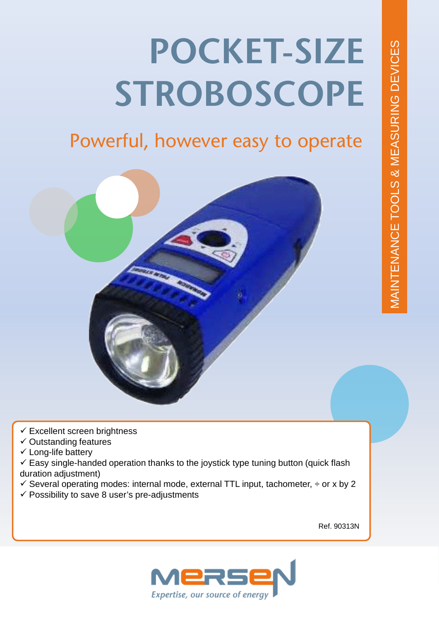# **POCKET-SIZE STROBOSCOPE**

# Powerful, however easy to operate



- $\checkmark$  Excellent screen brightness
- $\checkmark$  Outstanding features
- $\checkmark$  Long-life battery

 $\checkmark$  Easy single-handed operation thanks to the joystick type tuning button (quick flash duration adjustment)

- $\checkmark$  Several operating modes: internal mode, external TTL input, tachometer,  $\div$  or x by 2
- $\checkmark$  Possibility to save 8 user's pre-adjustments

Ref. 90313N